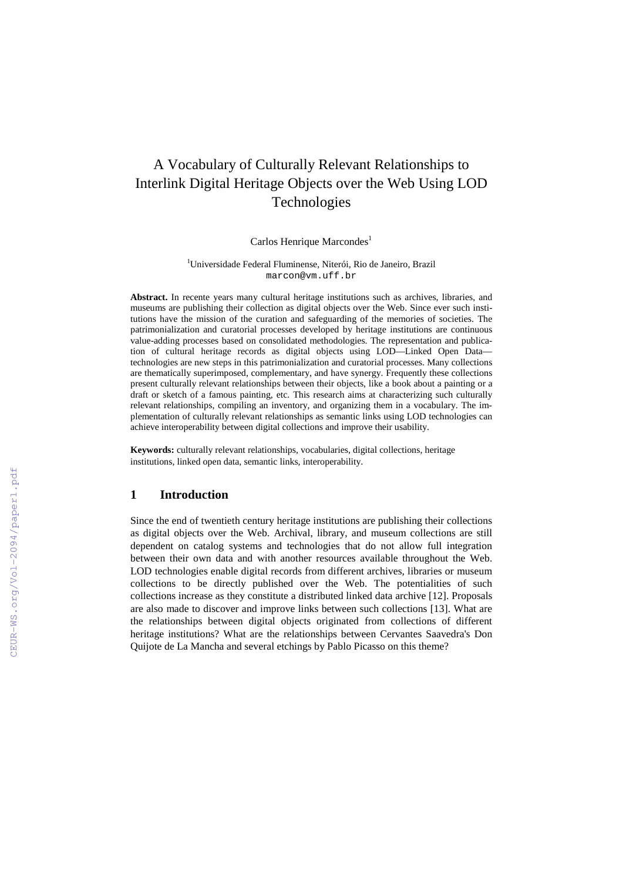# A Vocabulary of Culturally Relevant Relationships to Interlink Digital Heritage Objects over the Web Using LOD Technologies

Carlos Henrique Marcondes<sup>1</sup>

1 Universidade Federal Fluminense, Niterói, Rio de Janeiro, Brazil marcon@vm.uff.br

**Abstract.** In recente years many cultural heritage institutions such as archives, libraries, and museums are publishing their collection as digital objects over the Web. Since ever such institutions have the mission of the curation and safeguarding of the memories of societies. The patrimonialization and curatorial processes developed by heritage institutions are continuous value-adding processes based on consolidated methodologies. The representation and publication of cultural heritage records as digital objects using LOD—Linked Open Data technologies are new steps in this patrimonialization and curatorial processes. Many collections are thematically superimposed, complementary, and have synergy. Frequently these collections present culturally relevant relationships between their objects, like a book about a painting or a draft or sketch of a famous painting, etc. This research aims at characterizing such culturally relevant relationships, compiling an inventory, and organizing them in a vocabulary. The implementation of culturally relevant relationships as semantic links using LOD technologies can achieve interoperability between digital collections and improve their usability.

**Keywords:** culturally relevant relationships, vocabularies, digital collections, heritage institutions, linked open data, semantic links, interoperability.

## **1 Introduction**

Since the end of twentieth century heritage institutions are publishing their collections as digital objects over the Web. Archival, library, and museum collections are still dependent on catalog systems and technologies that do not allow full integration between their own data and with another resources available throughout the Web. LOD technologies enable digital records from different archives, libraries or museum collections to be directly published over the Web. The potentialities of such collections increase as they constitute a distributed linked data archive [12]. Proposals are also made to discover and improve links between such collections [13]. What are the relationships between digital objects originated from collections of different heritage institutions? What are the relationships between Cervantes Saavedra's Don Quijote de La Mancha and several etchings by Pablo Picasso on this theme?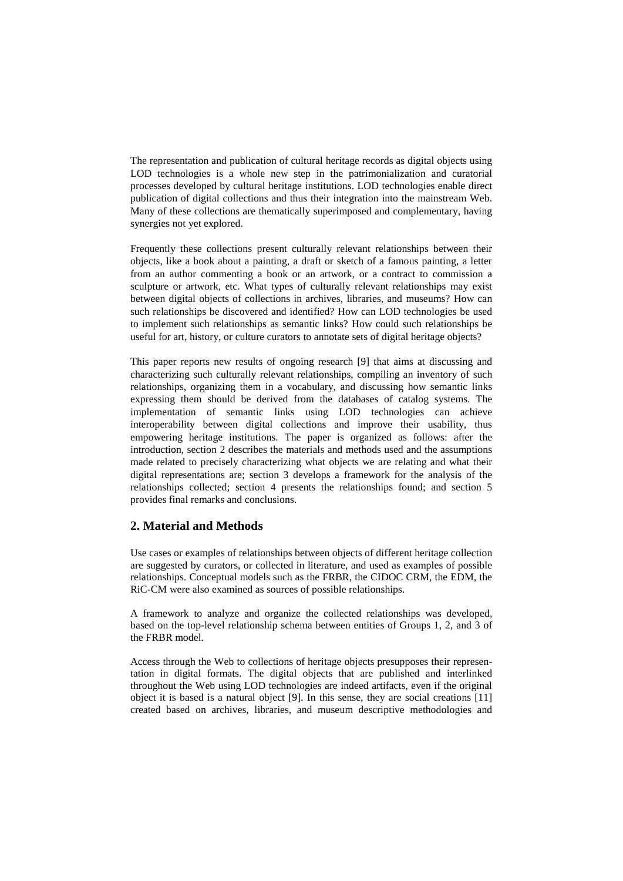The representation and publication of cultural heritage records as digital objects using LOD technologies is a whole new step in the patrimonialization and curatorial processes developed by cultural heritage institutions. LOD technologies enable direct publication of digital collections and thus their integration into the mainstream Web. Many of these collections are thematically superimposed and complementary, having synergies not yet explored.

Frequently these collections present culturally relevant relationships between their objects, like a book about a painting, a draft or sketch of a famous painting, a letter from an author commenting a book or an artwork, or a contract to commission a sculpture or artwork, etc. What types of culturally relevant relationships may exist between digital objects of collections in archives, libraries, and museums? How can such relationships be discovered and identified? How can LOD technologies be used to implement such relationships as semantic links? How could such relationships be useful for art, history, or culture curators to annotate sets of digital heritage objects?

This paper reports new results of ongoing research [9] that aims at discussing and characterizing such culturally relevant relationships, compiling an inventory of such relationships, organizing them in a vocabulary, and discussing how semantic links expressing them should be derived from the databases of catalog systems. The implementation of semantic links using LOD technologies can achieve interoperability between digital collections and improve their usability, thus empowering heritage institutions. The paper is organized as follows: after the introduction, section 2 describes the materials and methods used and the assumptions made related to precisely characterizing what objects we are relating and what their digital representations are; section 3 develops a framework for the analysis of the relationships collected; section 4 presents the relationships found; and section 5 provides final remarks and conclusions.

# **2. Material and Methods**

Use cases or examples of relationships between objects of different heritage collection are suggested by curators, or collected in literature, and used as examples of possible relationships. Conceptual models such as the FRBR, the CIDOC CRM, the EDM, the RiC-CM were also examined as sources of possible relationships.

A framework to analyze and organize the collected relationships was developed, based on the top-level relationship schema between entities of Groups 1, 2, and 3 of the FRBR model.

Access through the Web to collections of heritage objects presupposes their representation in digital formats. The digital objects that are published and interlinked throughout the Web using LOD technologies are indeed artifacts, even if the original object it is based is a natural object [9]. In this sense, they are social creations [11] created based on archives, libraries, and museum descriptive methodologies and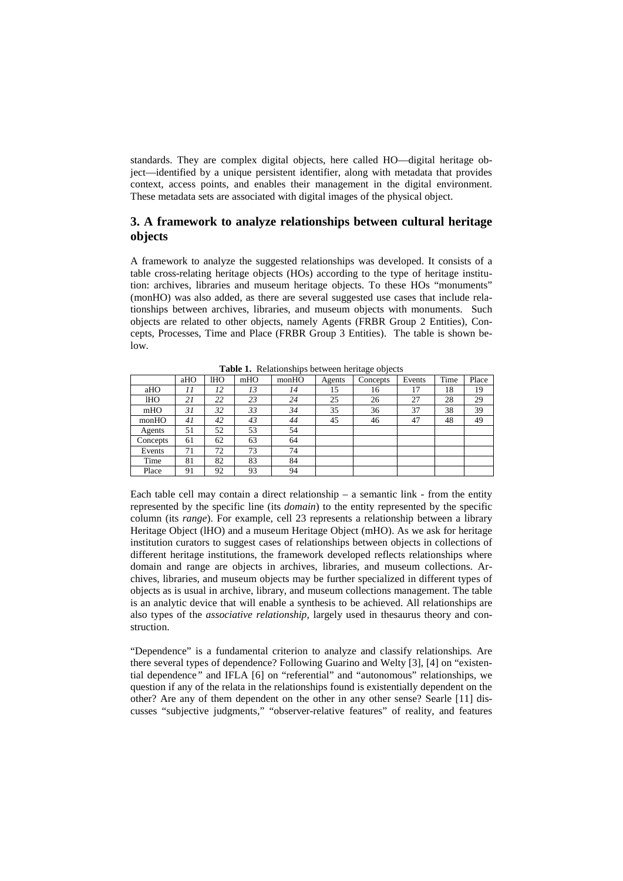standards. They are complex digital objects, here called HO—digital heritage object—identified by a unique persistent identifier, along with metadata that provides context, access points, and enables their management in the digital environment. These metadata sets are associated with digital images of the physical object.

# **3. A framework to analyze relationships between cultural heritage objects**

A framework to analyze the suggested relationships was developed. It consists of a table cross-relating heritage objects (HOs) according to the type of heritage institution: archives, libraries and museum heritage objects. To these HOs "monuments" (monHO) was also added, as there are several suggested use cases that include relationships between archives, libraries, and museum objects with monuments. Such objects are related to other objects, namely Agents (FRBR Group 2 Entities), Concepts, Processes, Time and Place (FRBR Group 3 Entities). The table is shown below.

|          | aHO | lНO | mHO | monHO | Agents | Concepts | Events | Time | Place |
|----------|-----|-----|-----|-------|--------|----------|--------|------|-------|
| aHO      | 11  | 12  | 13  | 14    | 15     | 16       | 17     | 18   | 19    |
| 1HO      | 21  | 22  | 23  | 24    | 25     | 26       | 27     | 28   | 29    |
| mHO      | 31  | 32  | 33  | 34    | 35     | 36       | 37     | 38   | 39    |
| monHO    | 41  | 42  | 43  | 44    | 45     | 46       | 47     | 48   | 49    |
| Agents   | 51  | 52  | 53  | 54    |        |          |        |      |       |
| Concepts | 61  | 62  | 63  | 64    |        |          |        |      |       |
| Events   | 71  | 72  | 73  | 74    |        |          |        |      |       |
| Time     | 81  | 82  | 83  | 84    |        |          |        |      |       |
| Place    | 91  | 92  | 93  | 94    |        |          |        |      |       |

**Table 1.** Relationships between heritage objects

Each table cell may contain a direct relationship  $-$  a semantic link  $-$  from the entity represented by the specific line (its *domain*) to the entity represented by the specific column (its *range*). For example, cell 23 represents a relationship between a library Heritage Object (lHO) and a museum Heritage Object (mHO). As we ask for heritage institution curators to suggest cases of relationships between objects in collections of different heritage institutions, the framework developed reflects relationships where domain and range are objects in archives, libraries, and museum collections. Archives, libraries, and museum objects may be further specialized in different types of objects as is usual in archive, library, and museum collections management. The table is an analytic device that will enable a synthesis to be achieved. All relationships are also types of the *associative relationship*, largely used in thesaurus theory and construction.

"Dependence" is a fundamental criterion to analyze and classify relationships*.* Are there several types of dependence? Following Guarino and Welty [3], [4] on "existential dependence*"* and IFLA [6] on "referential" and "autonomous" relationships, we question if any of the relata in the relationships found is existentially dependent on the other? Are any of them dependent on the other in any other sense? Searle [11] discusses "subjective judgments," "observer-relative features" of reality, and features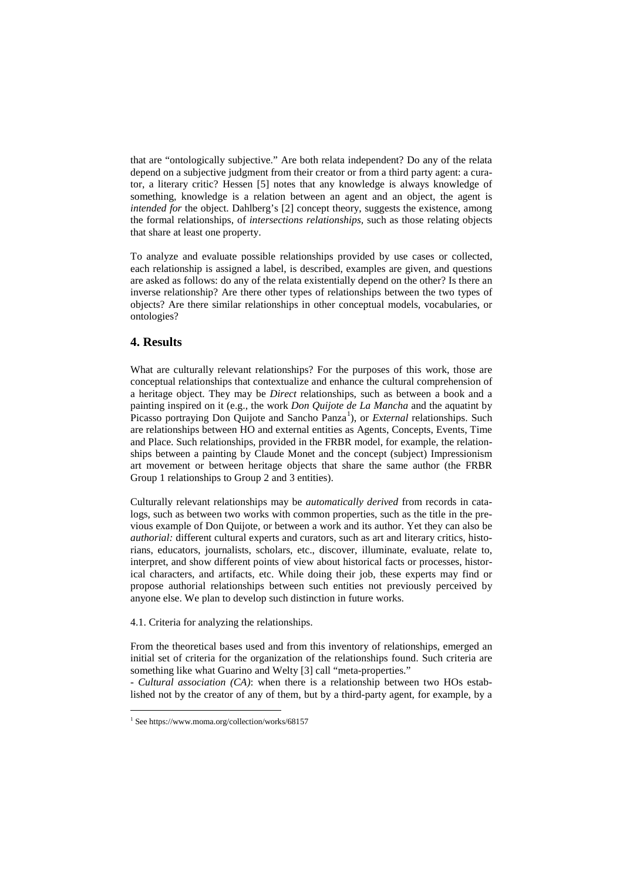that are "ontologically subjective." Are both relata independent? Do any of the relata depend on a subjective judgment from their creator or from a third party agent: a curator, a literary critic? Hessen [5] notes that any knowledge is always knowledge of something, knowledge is a relation between an agent and an object, the agent is *intended for* the object. Dahlberg's [2] concept theory, suggests the existence, among the formal relationships, of *intersections relationships,* such as those relating objects that share at least one property.

To analyze and evaluate possible relationships provided by use cases or collected, each relationship is assigned a label, is described, examples are given, and questions are asked as follows: do any of the relata existentially depend on the other? Is there an inverse relationship? Are there other types of relationships between the two types of objects? Are there similar relationships in other conceptual models, vocabularies, or ontologies?

# **4. Results**

What are culturally relevant relationships? For the purposes of this work, those are conceptual relationships that contextualize and enhance the cultural comprehension of a heritage object. They may be *Direct* relationships, such as between a book and a painting inspired on it (e.g., the work *Don Quijote de La Mancha* and the aquatint by Picasso portraying Don Quijote and Sancho Panza<sup>[1](#page-3-0)</sup>), or *External* relationships. Such are relationships between HO and external entities as Agents, Concepts, Events, Time and Place. Such relationships, provided in the FRBR model, for example, the relationships between a painting by Claude Monet and the concept (subject) Impressionism art movement or between heritage objects that share the same author (the FRBR Group 1 relationships to Group 2 and 3 entities).

Culturally relevant relationships may be *automatically derived* from records in catalogs, such as between two works with common properties, such as the title in the previous example of Don Quijote, or between a work and its author. Yet they can also be *authorial:* different cultural experts and curators, such as art and literary critics, historians, educators, journalists, scholars, etc., discover, illuminate, evaluate, relate to, interpret, and show different points of view about historical facts or processes, historical characters, and artifacts, etc. While doing their job, these experts may find or propose authorial relationships between such entities not previously perceived by anyone else. We plan to develop such distinction in future works.

4.1. Criteria for analyzing the relationships.

From the theoretical bases used and from this inventory of relationships, emerged an initial set of criteria for the organization of the relationships found. Such criteria are something like what Guarino and Welty [3] call "meta-properties."

- *Cultural association (CA)*: when there is a relationship between two HOs established not by the creator of any of them, but by a third-party agent, for example, by a

<span id="page-3-0"></span> <sup>1</sup> See https://www.moma.org/collection/works/68157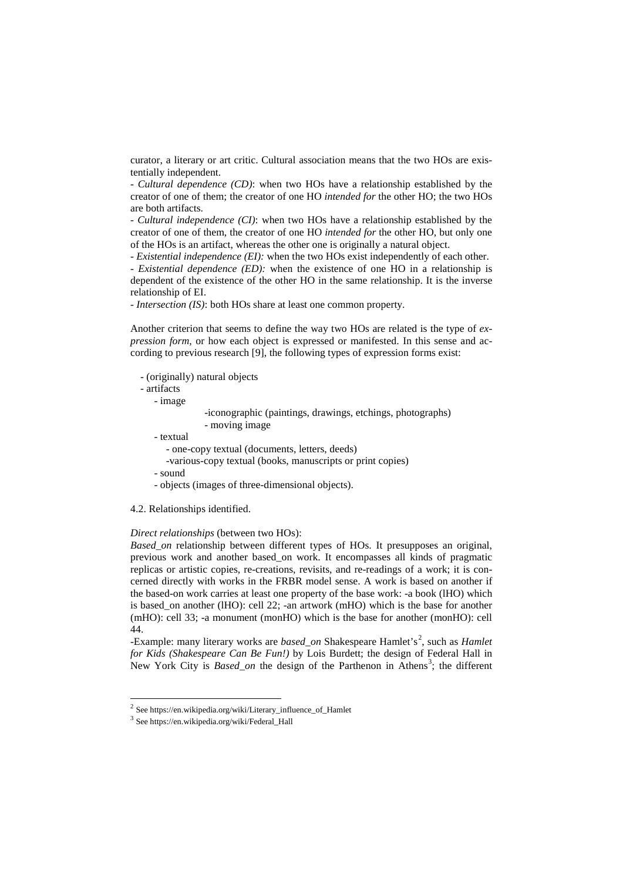curator, a literary or art critic. Cultural association means that the two HOs are existentially independent.

- *Cultural dependence (CD)*: when two HOs have a relationship established by the creator of one of them; the creator of one HO *intended for* the other HO; the two HOs are both artifacts.

*- Cultural independence (CI)*: when two HOs have a relationship established by the creator of one of them, the creator of one HO *intended for* the other HO, but only one of the HOs is an artifact, whereas the other one is originally a natural object.

- *Existential independence (EI):* when the two HOs exist independently of each other.

- *Existential dependence (ED):* when the existence of one HO in a relationship is dependent of the existence of the other HO in the same relationship. It is the inverse relationship of EI.

- *Intersection (IS)*: both HOs share at least one common property.

Another criterion that seems to define the way two HOs are related is the type of *expression form,* or how each object is expressed or manifested. In this sense and according to previous research [9], the following types of expression forms exist:

| - (originally) natural objects                                                                                            |  |  |  |  |
|---------------------------------------------------------------------------------------------------------------------------|--|--|--|--|
| - artifacts                                                                                                               |  |  |  |  |
| - image                                                                                                                   |  |  |  |  |
| -iconographic (paintings, drawings, etchings, photographs)<br>- moving image                                              |  |  |  |  |
| - textual<br>- one-copy textual (documents, letters, deeds)<br>-various-copy textual (books, manuscripts or print copies) |  |  |  |  |
| - sound<br>- objects (images of three-dimensional objects).                                                               |  |  |  |  |

#### 4.2. Relationships identified.

#### *Direct relationships* (between two HOs):

*Based\_on* relationship between different types of HOs. It presupposes an original, previous work and another based\_on work. It encompasses all kinds of pragmatic replicas or artistic copies, re-creations, revisits, and re-readings of a work; it is concerned directly with works in the FRBR model sense. A work is based on another if the based-on work carries at least one property of the base work: -a book (lHO) which is based\_on another (lHO): cell 22; -an artwork (mHO) which is the base for another (mHO): cell 33; -a monument (monHO) which is the base for another (monHO): cell 44.

-Example: many literary works are *based\_on* Shakespeare Hamlet's<sup>[2](#page-4-0)</sup>, such as *Hamlet for Kids (Shakespeare Can Be Fun!)* by Lois Burdett; the design of Federal Hall in New York City is *Based\_on* the design of the Parthenon in Athens<sup>[3](#page-4-1)</sup>; the different

<span id="page-4-0"></span> <sup>2</sup> See https://en.wikipedia.org/wiki/Literary\_influence\_of\_Hamlet

<span id="page-4-1"></span><sup>3</sup> See https://en.wikipedia.org/wiki/Federal\_Hall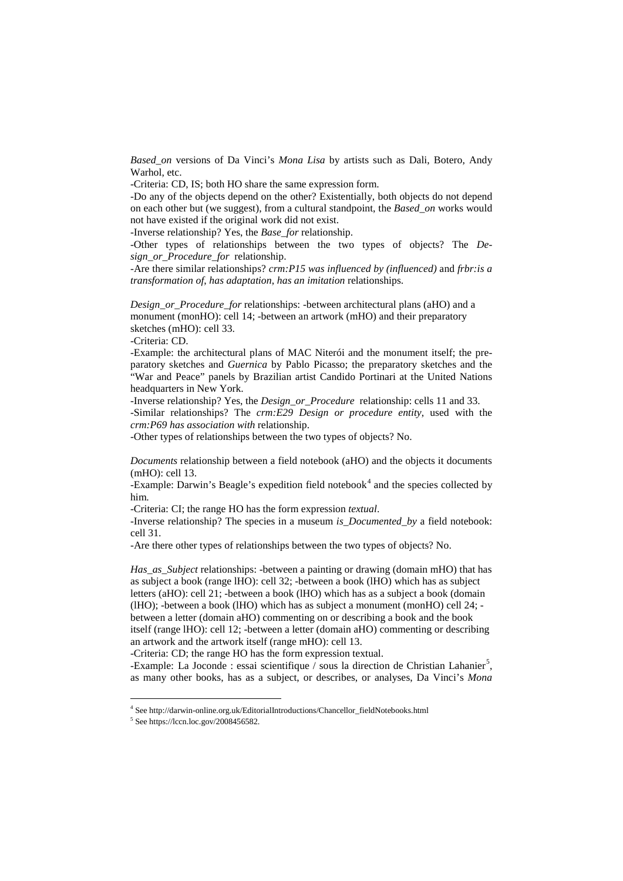*Based\_on* versions of Da Vinci's *Mona Lisa* by artists such as Dali, Botero, Andy Warhol, etc.

-Criteria: CD, IS; both HO share the same expression form.

-Do any of the objects depend on the other? Existentially, both objects do not depend on each other but (we suggest), from a cultural standpoint, the *Based\_on* works would not have existed if the original work did not exist.

-Inverse relationship? Yes, the *Base\_for* relationship.

-Other types of relationships between the two types of objects? The *Design\_or\_Procedure\_for* relationship.

-Are there similar relationships? *crm:P15 was influenced by (influenced)* and *frbr:is a transformation of*, *has adaptation*, *has an imitation* relationships.

*Design\_or\_Procedure\_for* relationships: -between architectural plans (aHO) and a monument (monHO): cell 14; -between an artwork (mHO) and their preparatory sketches (mHO): cell 33.

-Criteria: CD.

-Example: the architectural plans of MAC Niterói and the monument itself; the preparatory sketches and *Guernica* by Pablo Picasso; the preparatory sketches and the "War and Peace" panels by Brazilian artist Candido Portinari at the United Nations headquarters in New York.

-Inverse relationship? Yes, the *Design\_or\_Procedure*relationship: cells 11 and 33. -Similar relationships? The *crm:E29 Design or procedure entity*, used with the *crm:P69 has association with* relationship.

-Other types of relationships between the two types of objects? No.

*Documents* relationship between a field notebook (aHO) and the objects it documents (mHO): cell 13.

-Example: Darwin's Beagle's expedition field notebook<sup>[4](#page-5-0)</sup> and the species collected by him.

-Criteria: CI; the range HO has the form expression *textual*.

-Inverse relationship? The species in a museum *is\_Documented\_by* a field notebook: cell 31.

-Are there other types of relationships between the two types of objects? No.

*Has\_as\_Subject* relationships: -between a painting or drawing (domain mHO) that has as subject a book (range lHO): cell 32; -between a book (lHO) which has as subject letters (aHO): cell 21; -between a book (lHO) which has as a subject a book (domain (lHO); -between a book (lHO) which has as subject a monument (monHO) cell 24; between a letter (domain aHO) commenting on or describing a book and the book itself (range lHO): cell 12; -between a letter (domain aHO) commenting or describing an artwork and the artwork itself (range mHO): cell 13.

-Criteria: CD; the range HO has the form expression textual.

-Example: La Joconde : essai scientifique / sous la direction de Christian Lahanier<sup>[5](#page-5-1)</sup>, as many other books, has as a subject, or describes, or analyses, Da Vinci's *Mona* 

<span id="page-5-0"></span><sup>&</sup>lt;sup>4</sup> See http://darwin-online.org.uk/EditorialIntroductions/Chancellor\_fieldNotebooks.html

<span id="page-5-1"></span> $5$  See https://lccn.loc.gov/2008456582.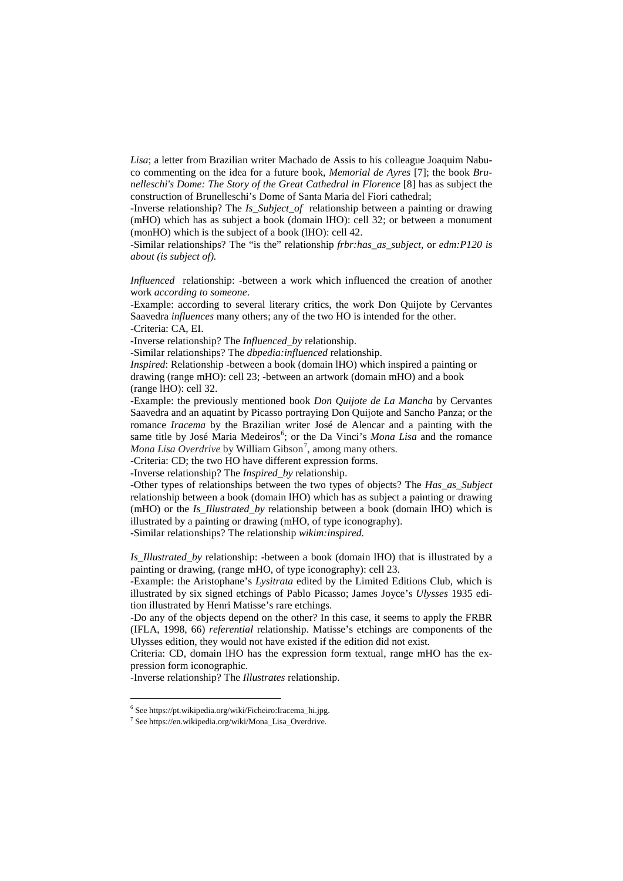*Lisa*; a letter from Brazilian writer Machado de Assis to his colleague Joaquim Nabuco commenting on the idea for a future book, *Memorial de Ayres* [7]; the book *Brunelleschi's Dome: The Story of the Great Cathedral in Florence* [8] has as subject the construction of Brunelleschi's Dome of Santa Maria del Fiori cathedral;

-Inverse relationship? The *Is\_Subject\_of* relationship between a painting or drawing (mHO) which has as subject a book (domain lHO): cell 32; or between a monument (monHO) which is the subject of a book (lHO): cell 42.

-Similar relationships? The "is the" relationship *frbr:has\_as\_subject*, or *edm:P120 is about (is subject of).*

*Influenced* relationship: -between a work which influenced the creation of another work *according to someone*.

-Example: according to several literary critics, the work Don Quijote by Cervantes Saavedra *influences* many others; any of the two HO is intended for the other. -Criteria: CA, EI.

-Inverse relationship? The *Influenced\_by* relationship.

-Similar relationships? The *dbpedia:influenced* relationship.

*Inspired*: Relationship -between a book (domain IHO) which inspired a painting or drawing (range mHO): cell 23; -between an artwork (domain mHO) and a book (range lHO): cell 32.

-Example: the previously mentioned book *Don Quijote de La Mancha* by Cervantes Saavedra and an aquatint by Picasso portraying Don Quijote and Sancho Panza; or the romance *Iracema* by the Brazilian writer José de Alencar and a painting with the same title by José Maria Medeiros<sup>[6](#page-6-0)</sup>; or the Da Vinci's *Mona Lisa* and the romance *Mona Lisa Overdrive* by William Gibson<sup>[7](#page-6-1)</sup>, among many others.

-Criteria: CD; the two HO have different expression forms.

-Inverse relationship? The *Inspired\_by* relationship.

-Other types of relationships between the two types of objects? The *Has\_as\_Subject* relationship between a book (domain lHO) which has as subject a painting or drawing (mHO) or the *Is\_Illustrated\_by* relationship between a book (domain lHO) which is illustrated by a painting or drawing (mHO, of type iconography).

-Similar relationships? The relationship *wikim:inspired.*

*Is\_Illustrated\_by* relationship: -between a book (domain lHO) that is illustrated by a painting or drawing, (range mHO, of type iconography): cell 23.

-Example: the Aristophane's *Lysitrata* edited by the Limited Editions Club, which is illustrated by six signed etchings of Pablo Picasso; James Joyce's *Ulysses* 1935 edition illustrated by Henri Matisse's rare etchings.

-Do any of the objects depend on the other? In this case, it seems to apply the FRBR (IFLA, 1998, 66) *referential* relationship. Matisse's etchings are components of the Ulysses edition, they would not have existed if the edition did not exist.

Criteria: CD, domain lHO has the expression form textual, range mHO has the expression form iconographic.

-Inverse relationship? The *Illustrates* relationship.

<span id="page-6-1"></span><span id="page-6-0"></span> <sup>6</sup> See https://pt.wikipedia.org/wiki/Ficheiro:Iracema\_hi.jpg.

 $^7$  See https://en.wikipedia.org/wiki/Mona\_Lisa\_Overdrive.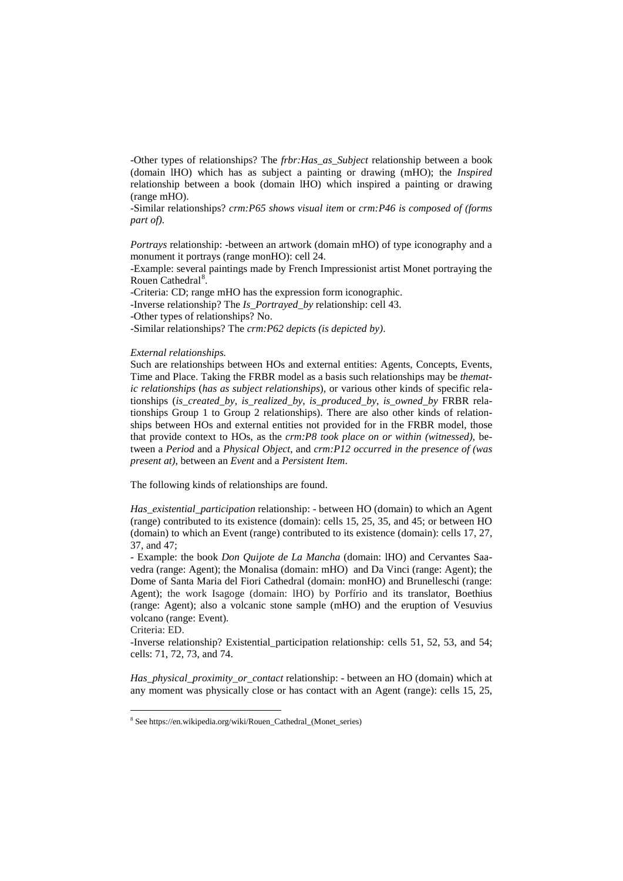-Other types of relationships? The *frbr:Has\_as\_Subject* relationship between a book (domain lHO) which has as subject a painting or drawing (mHO); the *Inspired* relationship between a book (domain lHO) which inspired a painting or drawing (range mHO).

-Similar relationships? *crm:P65 shows visual item* or *crm:P46 is composed of (forms part of).*

*Portrays* relationship: -between an artwork (domain mHO) of type iconography and a monument it portrays (range monHO): cell 24.

-Example: several paintings made by French Impressionist artist Monet portraying the Rouen Cathedral<sup>[8](#page-7-0)</sup>.

-Criteria: CD; range mHO has the expression form iconographic.

-Inverse relationship? The *Is\_Portrayed\_by* relationship: cell 43.

-Other types of relationships? No.

-Similar relationships? The *crm:P62 depicts (is depicted by)*.

#### *External relationships.*

Such are relationships between HOs and external entities: Agents, Concepts, Events, Time and Place. Taking the FRBR model as a basis such relationships may be *thematic relationships* (*has as subject relationships*), or various other kinds of specific relationships (*is\_created\_by*, *is\_realized\_by*, *is\_produced\_by*, *is\_owned\_by* FRBR relationships Group 1 to Group 2 relationships). There are also other kinds of relationships between HOs and external entities not provided for in the FRBR model, those that provide context to HOs, as the *crm:P8 took place on or within (witnessed)*, between a *Period* and a *Physical Object*, and *crm:P12 occurred in the presence of (was present at)*, between an *Event* and a *Persistent Item*.

The following kinds of relationships are found.

*Has\_existential\_participation* relationship: - between HO (domain) to which an Agent (range) contributed to its existence (domain): cells 15, 25, 35, and 45; or between HO (domain) to which an Event (range) contributed to its existence (domain): cells 17, 27, 37, and 47;

- Example: the book *Don Quijote de La Mancha* (domain: lHO) and Cervantes Saavedra (range: Agent); the Monalisa (domain: mHO) and Da Vinci (range: Agent); the Dome of Santa Maria del Fiori Cathedral (domain: monHO) and Brunelleschi (range: Agent); the work Isagoge (domain: lHO) by Porfírio and its translator, Boethius (range: Agent); also a volcanic stone sample (mHO) and the eruption of Vesuvius volcano (range: Event)*.*

Criteria: ED.

-Inverse relationship? Existential\_participation relationship: cells 51, 52, 53, and 54; cells: 71, 72, 73, and 74.

*Has\_physical\_proximity\_or\_contact* relationship: - between an HO (domain) which at any moment was physically close or has contact with an Agent (range): cells 15, 25,

<span id="page-7-0"></span> <sup>8</sup> See https://en.wikipedia.org/wiki/Rouen\_Cathedral\_(Monet\_series)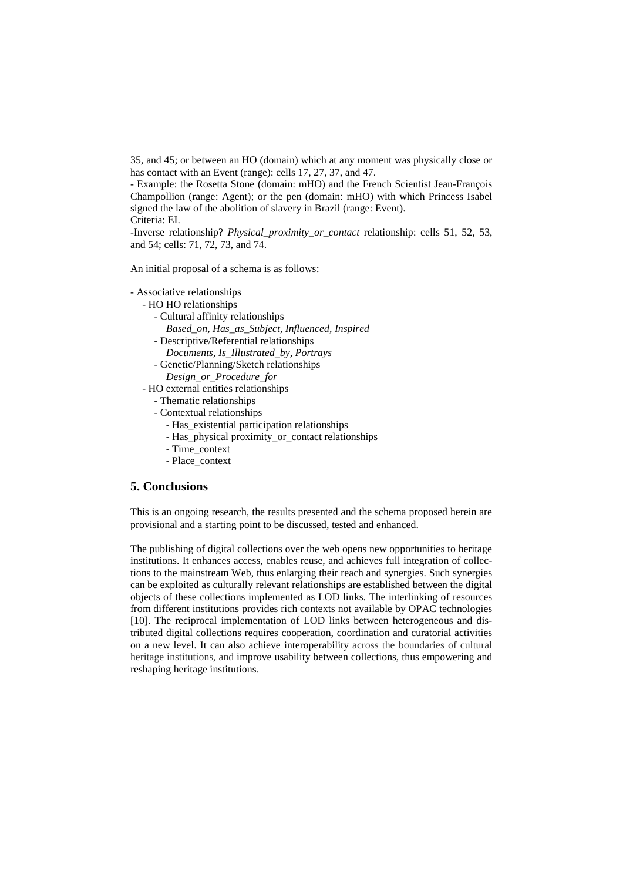35, and 45; or between an HO (domain) which at any moment was physically close or has contact with an Event (range): cells 17, 27, 37, and 47.

- Example: the Rosetta Stone (domain: mHO) and the French Scientist Jean-François Champollion (range: Agent); or the pen (domain: mHO) with which Princess Isabel signed the law of the abolition of slavery in Brazil (range: Event). Criteria: EI.

-Inverse relationship? *Physical\_proximity\_or\_contact* relationship: cells 51, 52, 53, and 54; cells: 71, 72, 73, and 74.

An initial proposal of a schema is as follows:

- Associative relationships

- HO HO relationships
	- Cultural affinity relationships
	- *Based\_on, Has\_as\_Subject, Influenced, Inspired*
	- Descriptive/Referential relationships
		- *Documents, Is\_Illustrated\_by, Portrays*
	- Genetic/Planning/Sketch relationships
		- *Design\_or\_Procedure\_for*
- HO external entities relationships
	- Thematic relationships
	- Contextual relationships
		- Has\_existential participation relationships
		- Has physical proximity or contact relationships
		- Time\_context
		- Place\_context

#### **5. Conclusions**

This is an ongoing research, the results presented and the schema proposed herein are provisional and a starting point to be discussed, tested and enhanced.

The publishing of digital collections over the web opens new opportunities to heritage institutions. It enhances access, enables reuse, and achieves full integration of collections to the mainstream Web, thus enlarging their reach and synergies. Such synergies can be exploited as culturally relevant relationships are established between the digital objects of these collections implemented as LOD links. The interlinking of resources from different institutions provides rich contexts not available by OPAC technologies [10]. The reciprocal implementation of LOD links between heterogeneous and distributed digital collections requires cooperation, coordination and curatorial activities on a new level. It can also achieve interoperability across the boundaries of cultural heritage institutions, and improve usability between collections, thus empowering and reshaping heritage institutions.